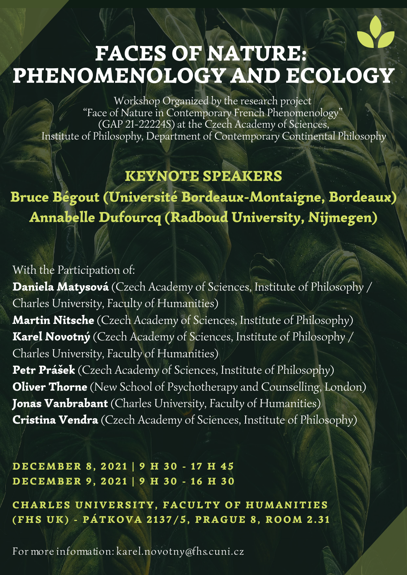For more information: karel.novotny@fhs.cuni.cz

# FACES OF NATURE: PHENOMENOLOGY AND ECOLOGY

### KEYNOTE SPEAKERS

Bruce Bégout (Université Bordeaux-Montaigne, Bordeaux) Annabelle Dufourcq (Radboud University, Nijmegen)

Workshop Organized by the research project "Face of Nature in Contemporary French Phenomenology " (GAP 21-22224S) at the Czech Academy of Sciences, Institute of Philosophy, Department of Contemporary Continental Philosophy

With the Participation of: Daniela Matysová (Czech Academy of Sciences, Institute of Philosophy / Charles University, Faculty of Humanities)

Martin Nitsche (Czech Academy of Sciences, Institute of Philosophy) Karel Novotný (Czech Academy of Sciences, Institute of Philosophy / Charles University, Faculty of Humanities) Petr Prášek (Czech Academy of Sciences, Institute of Philosophy) **Oliver Thorne** (New School of Psychotherapy and Counselling, London) Jonas Vanbrabant (Charles University, Faculty of Humanities) Cristina Vendra (Czech Academy of Sciences, Institute of Philosophy)

DECEMBER 8, 2021 | 9 H 30 - 17 H 45 DECEMBER 9, 2021 | 9 H 30 - 16 H 30

CHARLES UNIVERSITY, FACULTY OF HUMANITIES (FHS UK) - PÁTKOVA 2137/5, PRAGUE 8, ROOM 2.31